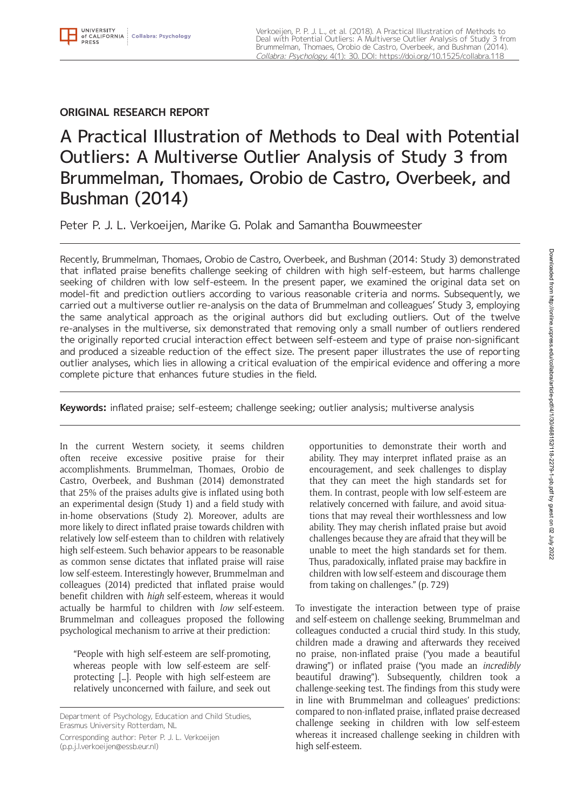# **ORIGINAL RESEARCH REPORT**

# A Practical Illustration of Methods to Deal with Potential Outliers: A Multiverse Outlier Analysis of Study 3 from Brummelman, Thomaes, Orobio de Castro, Overbeek, and Bushman (2014)

Peter P. J. L. Verkoeijen, Marike G. Polak and Samantha Bouwmeester

Recently, Brummelman, Thomaes, Orobio de Castro, Overbeek, and Bushman (2014: Study 3) demonstrated that inflated praise benefits challenge seeking of children with high self-esteem, but harms challenge seeking of children with low self-esteem. In the present paper, we examined the original data set on model-fit and prediction outliers according to various reasonable criteria and norms. Subsequently, we carried out a multiverse outlier re-analysis on the data of Brummelman and colleagues' Study 3, employing the same analytical approach as the original authors did but excluding outliers. Out of the twelve re-analyses in the multiverse, six demonstrated that removing only a small number of outliers rendered the originally reported crucial interaction effect between self-esteem and type of praise non-significant and produced a sizeable reduction of the effect size. The present paper illustrates the use of reporting outlier analyses, which lies in allowing a critical evaluation of the empirical evidence and offering a more complete picture that enhances future studies in the field.

**Keywords:** inflated praise; self-esteem; challenge seeking; outlier analysis; multiverse analysis

In the current Western society, it seems children often receive excessive positive praise for their accomplishments. Brummelman, Thomaes, Orobio de Castro, Overbeek, and Bushman (2014) demonstrated that 25% of the praises adults give is inflated using both an experimental design (Study 1) and a field study with in-home observations (Study 2). Moreover, adults are more likely to direct inflated praise towards children with relatively low self-esteem than to children with relatively high self-esteem. Such behavior appears to be reasonable as common sense dictates that inflated praise will raise low self-esteem. Interestingly however, Brummelman and colleagues (2014) predicted that inflated praise would benefit children with *high* self-esteem, whereas it would actually be harmful to children with *low* self-esteem. Brummelman and colleagues proposed the following psychological mechanism to arrive at their prediction:

"People with high self-esteem are self-promoting, whereas people with low self-esteem are selfprotecting […]. People with high self-esteem are relatively unconcerned with failure, and seek out

Corresponding author: Peter P. J. L. Verkoeijen [\(p.p.j.l.verkoeijen@essb.eur.nl](mailto:p.p.j.l.verkoeijen@essb.eur.nl))

opportunities to demonstrate their worth and ability. They may interpret inflated praise as an encouragement, and seek challenges to display that they can meet the high standards set for them. In contrast, people with low self-esteem are relatively concerned with failure, and avoid situations that may reveal their worthlessness and low ability. They may cherish inflated praise but avoid challenges because they are afraid that they will be unable to meet the high standards set for them. Thus, paradoxically, inflated praise may backfire in children with low self-esteem and discourage them from taking on challenges." (p. 729)

To investigate the interaction between type of praise and self-esteem on challenge seeking, Brummelman and colleagues conducted a crucial third study. In this study, children made a drawing and afterwards they received no praise, non-inflated praise ("you made a beautiful drawing") or inflated praise ("you made an *incredibly* beautiful drawing"). Subsequently, children took a challenge-seeking test. The findings from this study were in line with Brummelman and colleagues' predictions: compared to non-inflated praise, inflated praise decreased challenge seeking in children with low self-esteem whereas it increased challenge seeking in children with high self-esteem.

Department of Psychology, Education and Child Studies, Erasmus University Rotterdam, NL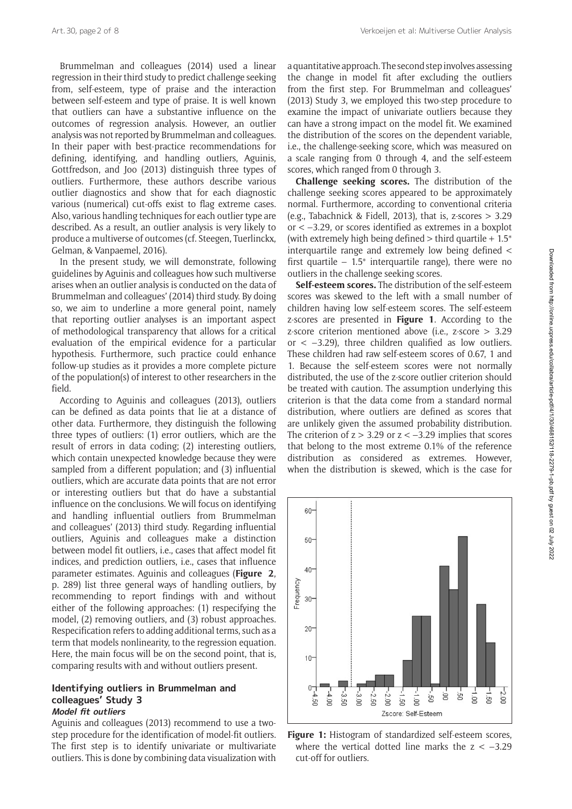Brummelman and colleagues (2014) used a linear regression in their third study to predict challenge seeking from, self-esteem, type of praise and the interaction between self-esteem and type of praise. It is well known that outliers can have a substantive influence on the outcomes of regression analysis. However, an outlier analysis was not reported by Brummelman and colleagues. In their paper with best-practice recommendations for defining, identifying, and handling outliers, Aguinis, Gottfredson, and Joo (2013) distinguish three types of outliers. Furthermore, these authors describe various outlier diagnostics and show that for each diagnostic various (numerical) cut-offs exist to flag extreme cases. Also, various handling techniques for each outlier type are described. As a result, an outlier analysis is very likely to produce a multiverse of outcomes (cf. Steegen, Tuerlinckx, Gelman, & Vanpaemel, 2016).

In the present study, we will demonstrate, following guidelines by Aguinis and colleagues how such multiverse arises when an outlier analysis is conducted on the data of Brummelman and colleagues' (2014) third study. By doing so, we aim to underline a more general point, namely that reporting outlier analyses is an important aspect of methodological transparency that allows for a critical evaluation of the empirical evidence for a particular hypothesis. Furthermore, such practice could enhance follow-up studies as it provides a more complete picture of the population(s) of interest to other researchers in the field.

According to Aguinis and colleagues (2013), outliers can be defined as data points that lie at a distance of other data. Furthermore, they distinguish the following three types of outliers: (1) error outliers, which are the result of errors in data coding; (2) interesting outliers, which contain unexpected knowledge because they were sampled from a different population; and (3) influential outliers, which are accurate data points that are not error or interesting outliers but that do have a substantial influence on the conclusions. We will focus on identifying and handling influential outliers from Brummelman and colleagues' (2013) third study. Regarding influential outliers, Aguinis and colleagues make a distinction between model fit outliers, i.e., cases that affect model fit indices, and prediction outliers, i.e., cases that influence parameter estimates. Aguinis and colleagues (**Figure 2**, p. 289) list three general ways of handling outliers, by recommending to report findings with and without either of the following approaches: (1) respecifying the model, (2) removing outliers, and (3) robust approaches. Respecification refers to adding additional terms, such as a term that models nonlinearity, to the regression equation. Here, the main focus will be on the second point, that is, comparing results with and without outliers present.

#### **Identifying outliers in Brummelman and colleagues' Study 3 Model fit outliers**

Aguinis and colleagues (2013) recommend to use a twostep procedure for the identification of model-fit outliers. The first step is to identify univariate or multivariate outliers. This is done by combining data visualization with

a quantitative approach. The second step involves assessing the change in model fit after excluding the outliers from the first step. For Brummelman and colleagues' (2013) Study 3, we employed this two-step procedure to examine the impact of univariate outliers because they can have a strong impact on the model fit. We examined the distribution of the scores on the dependent variable, i.e., the challenge-seeking score, which was measured on a scale ranging from 0 through 4, and the self-esteem scores, which ranged from 0 through 3.

**Challenge seeking scores.** The distribution of the challenge seeking scores appeared to be approximately normal. Furthermore, according to conventional criteria (e.g., Tabachnick & Fidell, 2013), that is, z-scores > 3.29 or < –3.29, or scores identified as extremes in a boxplot (with extremely high being defined  $>$  third quartile + 1.5 $*$ interquartile range and extremely low being defined < first quartile –  $1.5^*$  interquartile range), there were no outliers in the challenge seeking scores.

**Self-esteem scores.** The distribution of the self-esteem scores was skewed to the left with a small number of children having low self-esteem scores. The self-esteem z-scores are presented in **Figure 1**. According to the z-score criterion mentioned above (i.e., z-score > 3.29 or  $\langle -3.29 \rangle$ , three children qualified as low outliers. These children had raw self-esteem scores of 0.67, 1 and 1. Because the self-esteem scores were not normally distributed, the use of the z-score outlier criterion should be treated with caution. The assumption underlying this criterion is that the data come from a standard normal distribution, where outliers are defined as scores that are unlikely given the assumed probability distribution. The criterion of  $z > 3.29$  or  $z < -3.29$  implies that scores that belong to the most extreme 0.1% of the reference distribution as considered as extremes. However, when the distribution is skewed, which is the case for



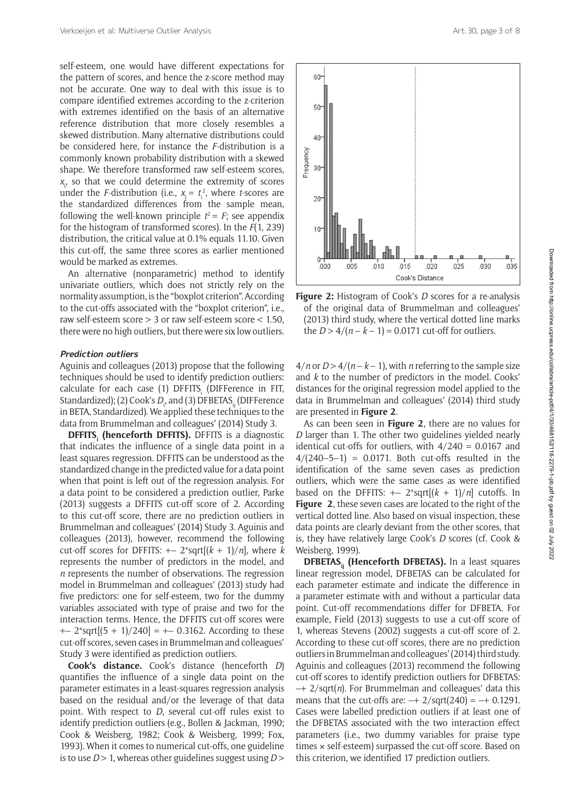self-esteem, one would have different expectations for the pattern of scores, and hence the z-score method may not be accurate. One way to deal with this issue is to compare identified extremes according to the z-criterion with extremes identified on the basis of an alternative reference distribution that more closely resembles a skewed distribution. Many alternative distributions could be considered here, for instance the *F*-distribution is a commonly known probability distribution with a skewed shape. We therefore transformed raw self-esteem scores, *x*i , so that we could determine the extremity of scores under the *F*-distribution (i.e.,  $x_i = t_i^2$ , where *t*-scores are the standardized differences from the sample mean, following the well-known principle  $t^2 = F$ ; see appendix for the histogram of transformed scores). In the *F*(1, 239) distribution, the critical value at 0.1% equals 11.10. Given this cut-off, the same three scores as earlier mentioned would be marked as extremes.

An alternative (nonparametric) method to identify univariate outliers, which does not strictly rely on the normality assumption, is the "boxplot criterion". According to the cut-offs associated with the "boxplot criterion", i.e., raw self-esteem score > 3 or raw self-esteem score < 1.50, there were no high outliers, but there were six low outliers.

#### **Prediction outliers**

Aguinis and colleagues (2013) propose that the following techniques should be used to identify prediction outliers: calculate for each case (1) DFFITS<sub>i</sub> (DIFFerence in FIT, Standardized); (2) Cook's *D<sub>i</sub>,* and (3) DFBETAS<sub>ij</sub> (DIFFerence in BETA, Standardized). We applied these techniques to the data from Brummelman and colleagues' (2014) Study 3.

**DFFITS**<sub>i</sub> (henceforth DFFITS). DFFITS is a diagnostic that indicates the influence of a single data point in a least squares regression. DFFITS can be understood as the standardized change in the predicted value for a data point when that point is left out of the regression analysis. For a data point to be considered a prediction outlier, Parke (2013) suggests a DFFITS cut-off score of 2. According to this cut-off score, there are no prediction outliers in Brummelman and colleagues' (2014) Study 3. Aguinis and colleagues (2013), however, recommend the following cut-off scores for DFFITS:  $+- 2*sqrt[(k + 1)/n]$ , where *k* represents the number of predictors in the model, and *n* represents the number of observations. The regression model in Brummelman and colleagues' (2013) study had five predictors: one for self-esteem, two for the dummy variables associated with type of praise and two for the interaction terms. Hence, the DFFITS cut-off scores were  $+- 2*sqrt{5 + 1}/240$  =  $+- 0.3162$ . According to these cut-off scores, seven cases in Brummelman and colleagues' Study 3 were identified as prediction outliers.

**Cook's distance.** Cook's distance (henceforth *D*) quantifies the influence of a single data point on the parameter estimates in a least-squares regression analysis based on the residual and/or the leverage of that data point. With respect to *D*, several cut-off rules exist to identify prediction outliers (e.g., Bollen & Jackman, 1990; Cook & Weisberg, 1982; Cook & Weisberg, 1999; Fox, 1993). When it comes to numerical cut-offs, one guideline is to use *D >* 1, whereas other guidelines suggest using *D >* 



**Figure 2:** Histogram of Cook's *D* scores for a re-analysis of the original data of Brummelman and colleagues' (2013) third study, where the vertical dotted line marks the  $D > 4/(n-k-1) = 0.0171$  cut-off for outliers.

 $4/n$  or  $D > 4/(n-k-1)$ , with *n* referring to the sample size and *k* to the number of predictors in the model. Cooks' distances for the original regression model applied to the data in Brummelman and colleagues' (2014) third study are presented in **Figure 2**.

As can been seen in **Figure 2**, there are no values for *D* larger than 1. The other two guidelines yielded nearly identical cut-offs for outliers, with  $4/240 = 0.0167$  and  $4/(240-5-1) = 0.0171$ . Both cut-offs resulted in the identification of the same seven cases as prediction outliers, which were the same cases as were identified based on the DFFITS:  $+- 2*sqrt[(k + 1)/n]$  cutoffs. In **Figure 2**, these seven cases are located to the right of the vertical dotted line. Also based on visual inspection, these data points are clearly deviant from the other scores, that is, they have relatively large Cook's *D* scores (cf. Cook & Weisberg, 1999).

**DFBETAS**: (Henceforth DFBETAS). In a least squares linear regression model, DFBETAS can be calculated for each parameter estimate and indicate the difference in a parameter estimate with and without a particular data point. Cut-off recommendations differ for DFBETA. For example, Field (2013) suggests to use a cut-off score of 1, whereas Stevens (2002) suggests a cut-off score of 2. According to these cut-off scores, there are no prediction outliers in Brummelman and colleagues' (2014) third study. Aguinis and colleagues (2013) recommend the following cut-off scores to identify prediction outliers for DFBETAS:  $-$  + 2/sqrt(*n*). For Brummelman and colleagues' data this means that the cut-offs are:  $-+2$ /sqrt(240) =  $-+0.1291$ . Cases were labelled prediction outliers if at least one of the DFBETAS associated with the two interaction effect parameters (i.e., two dummy variables for praise type times × self-esteem) surpassed the cut-off score. Based on this criterion, we identified 17 prediction outliers.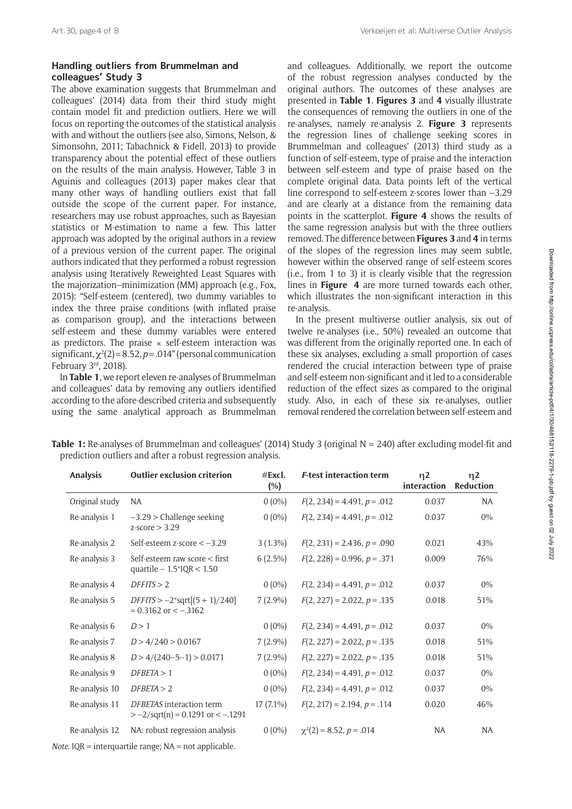# **Handling outliers from Brummelman and colleagues' Study 3**

The above examination suggests that Brummelman and colleagues' (2014) data from their third study might contain model fit and prediction outliers. Here we will focus on reporting the outcomes of the statistical analysis with and without the outliers (see also, Simons, Nelson, & Simonsohn, 2011; Tabachnick & Fidell, 2013) to provide transparency about the potential effect of these outliers on the results of the main analysis. However, Table 3 in Aguinis and colleagues (2013) paper makes clear that many other ways of handling outliers exist that fall outside the scope of the current paper. For instance, researchers may use robust approaches, such as Bayesian statistics or M-estimation to name a few. This latter approach was adopted by the original authors in a review of a previous version of the current paper. The original authors indicated that they performed a robust regression analysis using Iteratively Reweighted Least Squares with the majorization–minimization (MM) approach (e.g., Fox, 2015): "Self-esteem (centered), two dummy variables to index the three praise conditions (with inflated praise as comparison group), and the interactions between self-esteem and these dummy variables were entered as predictors. The praise  $\times$  self-esteem interaction was  $significant, \chi^2(2) = 8.52, p = .014" (personal communication)$ February 3rd, 2018).

In **Table 1**, we report eleven re-analyses of Brummelman and colleagues' data by removing any outliers identified according to the afore-described criteria and subsequently using the same analytical approach as Brummelman

and colleagues. Additionally, we report the outcome of the robust regression analyses conducted by the original authors. The outcomes of these analyses are presented in **Table 1**. **Figures 3** and **4** visually illustrate the consequences of removing the outliers in one of the re-analyses, namely re-analysis 2. **Figure 3** represents the regression lines of challenge seeking scores in Brummelman and colleagues' (2013) third study as a function of self-esteem, type of praise and the interaction between self-esteem and type of praise based on the complete original data. Data points left of the vertical line correspond to self-esteem z-scores lower than –3.29 and are clearly at a distance from the remaining data points in the scatterplot. **Figure 4** shows the results of the same regression analysis but with the three outliers removed. The difference between **Figures 3** and **4** in terms of the slopes of the regression lines may seem subtle, however within the observed range of self-esteem scores (i.e., from 1 to 3) it is clearly visible that the regression lines in **Figure 4** are more turned towards each other, which illustrates the non-significant interaction in this re-analysis.

In the present multiverse outlier analysis, six out of twelve re-analyses (i.e., 50%) revealed an outcome that was different from the originally reported one. In each of these six analyses, excluding a small proportion of cases rendered the crucial interaction between type of praise and self-esteem non-significant and it led to a considerable reduction of the effect sizes as compared to the original study. Also, in each of these six re-analyses, outlier removal rendered the correlation between self-esteem and

| Analysis       | <b>Outlier exclusion criterion</b>                              | #Excl.<br>$(\% )$ | <b>F-test interaction term</b> | $\eta$ 2<br>interaction | $\eta$ 2<br>Reduction |
|----------------|-----------------------------------------------------------------|-------------------|--------------------------------|-------------------------|-----------------------|
| Original study | <b>NA</b>                                                       | $0(0\%)$          | $F(2, 234) = 4.491, p = .012$  | 0.037                   | NA                    |
| Re-analysis 1  | $-3.29$ > Challenge seeking<br>$z$ -score $>$ 3.29              | $0(0\%)$          | $F(2, 234) = 4.491, p = .012$  | 0.037                   | $0\%$                 |
| Re-analysis 2  | Self-esteem z-score $<-3.29$                                    | $3(1.3\%)$        | $F(2, 231) = 2.436, p = .090$  | 0.021                   | 43%                   |
| Re-analysis 3  | Self-esteem raw score < first<br>quartile $-1.5*IQR < 1.50$     | $6(2.5\%)$        | $F(2, 228) = 0.996, p = .371$  | 0.009                   | 76%                   |
| Re-analysis 4  | DFFITS > 2                                                      | $0(0\%)$          | $F(2, 234) = 4.491, p = .012$  | 0.037                   | $0\%$                 |
| Re-analysis 5  | $DFFITS > -2*sqrt[(5 + 1)/240]$<br>$= 0.3162$ or $\lt -0.3162$  | $7(2.9\%)$        | $F(2, 227) = 2.022, p = .135$  | 0.018                   | 51%                   |
| Re-analysis 6  | D > 1                                                           | $0(0\%)$          | $F(2, 234) = 4.491, p = .012$  | 0.037                   | 0%                    |
| Re-analysis 7  | D > 4/240 > 0.0167                                              | $7(2.9\%)$        | $F(2, 227) = 2.022, p = .135$  | 0.018                   | 51%                   |
| Re-analysis 8  | $D > 4/(240-5-1) > 0.0171$                                      | $7(2.9\%)$        | $F(2, 227) = 2.022, p = .135$  | 0.018                   | 51%                   |
| Re-analysis 9  | DFBETA > 1                                                      | $0(0\%)$          | $F(2, 234) = 4.491, p = .012$  | 0.037                   | $0\%$                 |
| Re-analysis 10 | DFBETA > 2                                                      | $0(0\%)$          | $F(2, 234) = 4.491, p = .012$  | 0.037                   | $0\%$                 |
| Re-analysis 11 | DFBETAS interaction term<br>$>-2$ /sqrt(n) = 0.1291 or < -.1291 | $17(7.1\%)$       | $F(2, 217) = 2.194, p = .114$  | 0.020                   | 46%                   |
| Re-analysis 12 | NA: robust regression analysis                                  | $0(0\%)$          | $\chi^2(2) = 8.52, p = .014$   | <b>NA</b>               | <b>NA</b>             |

**Table 1:** Re-analyses of Brummelman and colleagues' (2014) Study 3 (original N = 240) after excluding model-fit and prediction outliers and after a robust regression analysis.

*Note*. IQR = interquartile range; NA = not applicable.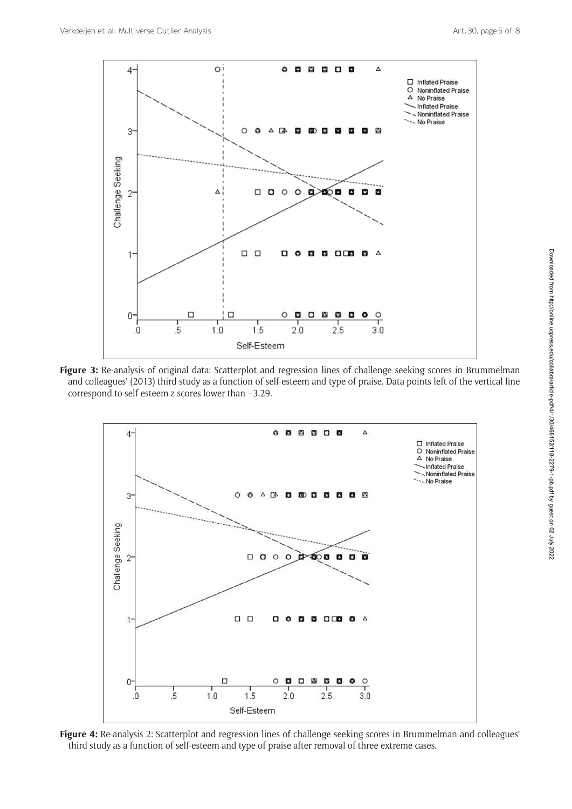





**Figure 4:** Re-analysis 2: Scatterplot and regression lines of challenge seeking scores in Brummelman and colleagues' third study as a function of self-esteem and type of praise after removal of three extreme cases.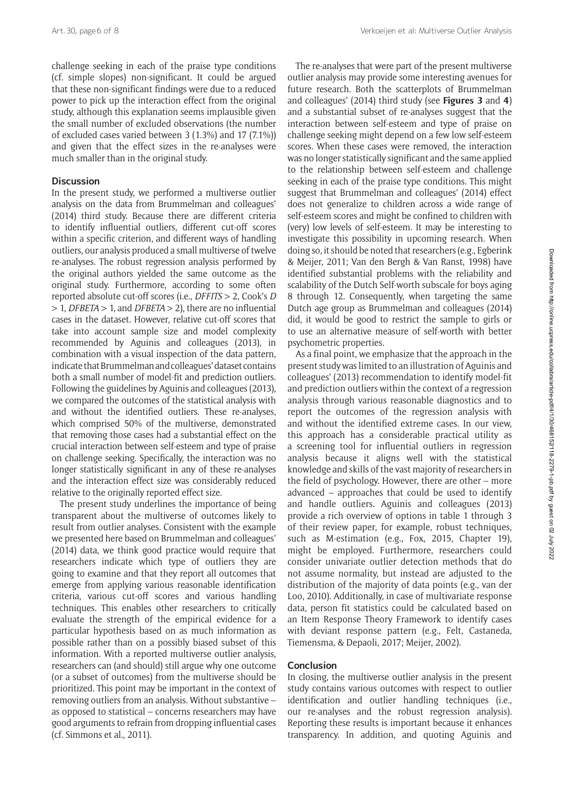challenge seeking in each of the praise type conditions (cf. simple slopes) non-significant. It could be argued that these non-significant findings were due to a reduced power to pick up the interaction effect from the original study, although this explanation seems implausible given the small number of excluded observations (the number of excluded cases varied between 3 (1.3%) and 17 (7.1%)) and given that the effect sizes in the re-analyses were much smaller than in the original study.

## **Discussion**

In the present study, we performed a multiverse outlier analysis on the data from Brummelman and colleagues' (2014) third study. Because there are different criteria to identify influential outliers, different cut-off scores within a specific criterion, and different ways of handling outliers, our analysis produced a small multiverse of twelve re-analyses. The robust regression analysis performed by the original authors yielded the same outcome as the original study. Furthermore, according to some often reported absolute cut-off scores (i.e., *DFFITS* > 2, Cook's *D* > 1, *DFBETA* > 1, and *DFBETA* > 2), there are no influential cases in the dataset. However, relative cut-off scores that take into account sample size and model complexity recommended by Aguinis and colleagues (2013), in combination with a visual inspection of the data pattern, indicate that Brummelman and colleagues' dataset contains both a small number of model-fit and prediction outliers. Following the guidelines by Aguinis and colleagues (2013), we compared the outcomes of the statistical analysis with and without the identified outliers. These re-analyses, which comprised 50% of the multiverse, demonstrated that removing those cases had a substantial effect on the crucial interaction between self-esteem and type of praise on challenge seeking. Specifically, the interaction was no longer statistically significant in any of these re-analyses and the interaction effect size was considerably reduced relative to the originally reported effect size.

The present study underlines the importance of being transparent about the multiverse of outcomes likely to result from outlier analyses. Consistent with the example we presented here based on Brummelman and colleagues' (2014) data, we think good practice would require that researchers indicate which type of outliers they are going to examine and that they report all outcomes that emerge from applying various reasonable identification criteria, various cut-off scores and various handling techniques. This enables other researchers to critically evaluate the strength of the empirical evidence for a particular hypothesis based on as much information as possible rather than on a possibly biased subset of this information. With a reported multiverse outlier analysis, researchers can (and should) still argue why one outcome (or a subset of outcomes) from the multiverse should be prioritized. This point may be important in the context of removing outliers from an analysis. Without substantive – as opposed to statistical – concerns researchers may have good arguments to refrain from dropping influential cases (cf. Simmons et al., 2011).

The re-analyses that were part of the present multiverse outlier analysis may provide some interesting avenues for future research. Both the scatterplots of Brummelman and colleagues' (2014) third study (see **Figures 3** and **4**) and a substantial subset of re-analyses suggest that the interaction between self-esteem and type of praise on challenge seeking might depend on a few low self-esteem scores. When these cases were removed, the interaction was no longer statistically significant and the same applied to the relationship between self-esteem and challenge seeking in each of the praise type conditions. This might suggest that Brummelman and colleagues' (2014) effect does not generalize to children across a wide range of self-esteem scores and might be confined to children with (very) low levels of self-esteem. It may be interesting to investigate this possibility in upcoming research. When doing so, it should be noted that researchers (e.g., Egberink & Meijer, 2011; Van den Bergh & Van Ranst, 1998) have identified substantial problems with the reliability and scalability of the Dutch Self-worth subscale for boys aging 8 through 12. Consequently, when targeting the same Dutch age group as Brummelman and colleagues (2014) did, it would be good to restrict the sample to girls or to use an alternative measure of self-worth with better psychometric properties.

As a final point, we emphasize that the approach in the present study was limited to an illustration of Aguinis and colleagues' (2013) recommendation to identify model-fit and prediction outliers within the context of a regression analysis through various reasonable diagnostics and to report the outcomes of the regression analysis with and without the identified extreme cases. In our view, this approach has a considerable practical utility as a screening tool for influential outliers in regression analysis because it aligns well with the statistical knowledge and skills of the vast majority of researchers in the field of psychology. However, there are other – more advanced – approaches that could be used to identify and handle outliers. Aguinis and colleagues (2013) provide a rich overview of options in table 1 through 3 of their review paper, for example, robust techniques, such as M-estimation (e.g., Fox, 2015, Chapter 19), might be employed. Furthermore, researchers could consider univariate outlier detection methods that do not assume normality, but instead are adjusted to the distribution of the majority of data points (e.g., van der Loo, 2010). Additionally, in case of multivariate response data, person fit statistics could be calculated based on an Item Response Theory Framework to identify cases with deviant response pattern (e.g., Felt, Castaneda, Tiemensma, & Depaoli, 2017; Meijer, 2002).

#### **Conclusion**

In closing, the multiverse outlier analysis in the present study contains various outcomes with respect to outlier identification and outlier handling techniques (i.e., our re-analyses and the robust regression analysis). Reporting these results is important because it enhances transparency. In addition, and quoting Aguinis and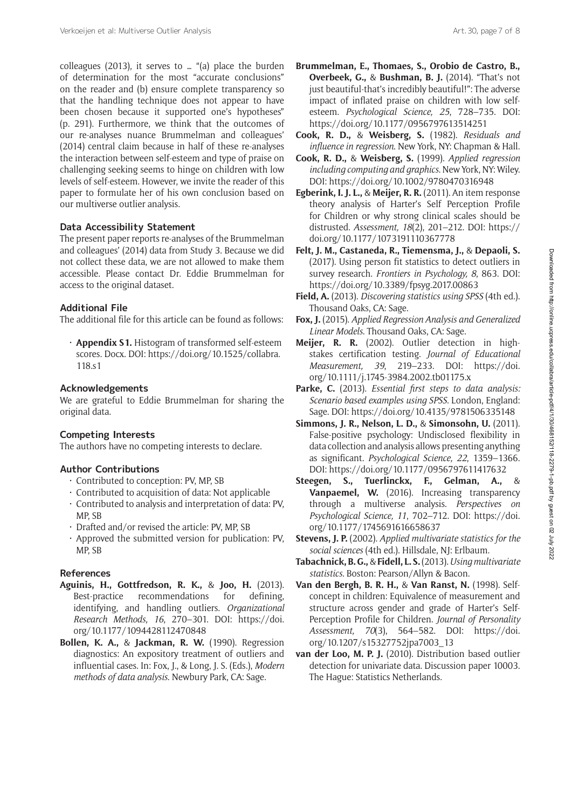colleagues (2013), it serves to … "(a) place the burden of determination for the most "accurate conclusions" on the reader and (b) ensure complete transparency so that the handling technique does not appear to have been chosen because it supported one's hypotheses" (p. 291). Furthermore, we think that the outcomes of our re-analyses nuance Brummelman and colleagues' (2014) central claim because in half of these re-analyses the interaction between self-esteem and type of praise on challenging seeking seems to hinge on children with low levels of self-esteem. However, we invite the reader of this paper to formulate her of his own conclusion based on our multiverse outlier analysis.

## **Data Accessibility Statement**

The present paper reports re-analyses of the Brummelman and colleagues' (2014) data from Study 3. Because we did not collect these data, we are not allowed to make them accessible. Please contact Dr. Eddie Brummelman for access to the original dataset.

## **Additional File**

The additional file for this article can be found as follows:

• **Appendix S1.** Histogram of transformed self-esteem scores. Docx. DOI: [https://doi.org/10.1525/collabra.](https://doi.org/10.1525/collabra.118.s1) [118.s1](https://doi.org/10.1525/collabra.118.s1)

## **Acknowledgements**

We are grateful to Eddie Brummelman for sharing the original data.

## **Competing Interests**

The authors have no competing interests to declare.

## **Author Contributions**

- Contributed to conception: PV, MP, SB
- Contributed to acquisition of data: Not applicable
- Contributed to analysis and interpretation of data: PV, MP, SB
- Drafted and/or revised the article: PV, MP, SB
- Approved the submitted version for publication: PV, MP, SB

## **References**

- **Aguinis, H., Gottfredson, R. K.,** & **Joo, H.** (2013). Best-practice recommendations for defining, identifying, and handling outliers. *Organizational Research Methods, 16*, 270–301. DOI: [https://doi.](https://doi.org/10.1177/1094428112470848) [org/10.1177/1094428112470848](https://doi.org/10.1177/1094428112470848)
- **Bollen, K. A.,** & **Jackman, R. W.** (1990). Regression diagnostics: An expository treatment of outliers and influential cases. In: Fox, J., & Long, J. S. (Eds.), *Modern methods of data analysis*. Newbury Park, CA: Sage.
- **Brummelman, E., Thomaes, S., Orobio de Castro, B., Overbeek, G.,** & **Bushman, B. J.** (2014). "That's not just beautiful-that's incredibly beautiful!": The adverse impact of inflated praise on children with low selfesteem. *Psychological Science, 25*, 728–735. DOI: <https://doi.org/10.1177/0956797613514251>
- **Cook, R. D.,** & **Weisberg, S.** (1982). *Residuals and influence in regression*. New York, NY: Chapman & Hall.
- **Cook, R. D.,** & **Weisberg, S.** (1999). *Applied regression including computing and graphics*. New York, NY: Wiley. DOI: <https://doi.org/10.1002/9780470316948>
- **Egberink, I. J. L.,** & **Meijer, R. R.** (2011). An item response theory analysis of Harter's Self Perception Profile for Children or why strong clinical scales should be distrusted. *Assessment, 18*(2), 201–212. DOI: [https://](https://doi.org/10.1177/1073191110367778) [doi.org/10.1177/1073191110367778](https://doi.org/10.1177/1073191110367778)
- **Felt, J. M., Castaneda, R., Tiemensma, J.,** & **Depaoli, S.** (2017). Using person fit statistics to detect outliers in survey research. *Frontiers in Psychology, 8*, 863. DOI: <https://doi.org/10.3389/fpsyg.2017.00863>
- **Field, A.** (2013). *Discovering statistics using SPSS* (4th ed.). Thousand Oaks, CA: Sage.
- **Fox, J.** (2015). *Applied Regression Analysis and Generalized Linear Models*. Thousand Oaks, CA: Sage.
- **Meijer, R. R.** (2002). Outlier detection in highstakes certification testing. *Journal of Educational Measurement, 39*, 219–233. DOI: [https://doi.](https://doi.org/10.1111/j.1745-3984.2002.tb01175.x) [org/10.1111/j.1745-3984.2002.tb01175.x](https://doi.org/10.1111/j.1745-3984.2002.tb01175.x)
- **Parke, C.** (2013). *Essential first steps to data analysis: Scenario based examples using SPSS*. London, England: Sage. DOI: <https://doi.org/10.4135/9781506335148>
- **Simmons, J. R., Nelson, L. D.,** & **Simonsohn, U.** (2011). False-positive psychology: Undisclosed flexibility in data collection and analysis allows presenting anything as significant. *Psychological Science, 22*, 1359–1366. DOI: <https://doi.org/10.1177/0956797611417632>
- **Steegen, S., Tuerlinckx, F., Gelman, A.,** & **Vanpaemel, W.** (2016). Increasing transparency through a multiverse analysis. *Perspectives on Psychological Science, 11*, 702–712. DOI: [https://doi.](https://doi.org/10.1177/1745691616658637) [org/10.1177/1745691616658637](https://doi.org/10.1177/1745691616658637)
- **Stevens, J. P.** (2002). *Applied multivariate statistics for the social sciences* (4th ed.). Hillsdale, NJ: Erlbaum.
- **Tabachnick, B. G.,** & **Fidell, L. S.** (2013). *Using multivariate statistics*. Boston: Pearson/Allyn & Bacon.
- **Van den Bergh, B. R. H.,** & **Van Ranst, N.** (1998). Selfconcept in children: Equivalence of measurement and structure across gender and grade of Harter's Self-Perception Profile for Children. *Journal of Personality Assessment, 70*(3), 564–582. DOI: [https://doi.](https://doi.org/10.1207/s15327752jpa7003_13) [org/10.1207/s15327752jpa7003\\_13](https://doi.org/10.1207/s15327752jpa7003_13)
- **van der Loo, M. P. J.** (2010). Distribution based outlier detection for univariate data. Discussion paper 10003. The Hague: Statistics Netherlands.